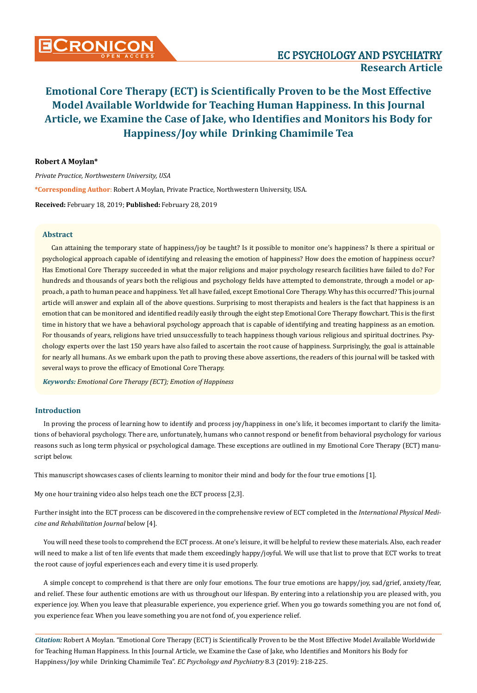# **Robert A Moylan\***

*Private Practice, Northwestern University, USA* **\*Corresponding Author**: Robert A Moylan, Private Practice, Northwestern University, USA. **Received:** February 18, 2019; **Published:** February 28, 2019

### **Abstract**

Can attaining the temporary state of happiness/joy be taught? Is it possible to monitor one's happiness? Is there a spiritual or psychological approach capable of identifying and releasing the emotion of happiness? How does the emotion of happiness occur? Has Emotional Core Therapy succeeded in what the major religions and major psychology research facilities have failed to do? For hundreds and thousands of years both the religious and psychology fields have attempted to demonstrate, through a model or approach, a path to human peace and happiness. Yet all have failed, except Emotional Core Therapy. Why has this occurred? This journal article will answer and explain all of the above questions. Surprising to most therapists and healers is the fact that happiness is an emotion that can be monitored and identified readily easily through the eight step Emotional Core Therapy flowchart. This is the first time in history that we have a behavioral psychology approach that is capable of identifying and treating happiness as an emotion. For thousands of years, religions have tried unsuccessfully to teach happiness though various religious and spiritual doctrines. Psychology experts over the last 150 years have also failed to ascertain the root cause of happiness. Surprisingly, the goal is attainable for nearly all humans. As we embark upon the path to proving these above assertions, the readers of this journal will be tasked with several ways to prove the efficacy of Emotional Core Therapy.

*Keywords: Emotional Core Therapy (ECT); Emotion of Happiness*

## **Introduction**

In proving the process of learning how to identify and process joy/happiness in one's life, it becomes important to clarify the limitations of behavioral psychology. There are, unfortunately, humans who cannot respond or benefit from behavioral psychology for various reasons such as long term physical or psychological damage. These exceptions are outlined in my Emotional Core Therapy (ECT) manuscript below.

This manuscript showcases cases of clients learning to monitor their mind and body for the four true emotions [1].

My one hour training video also helps teach one the ECT process [2,3].

Further insight into the ECT process can be discovered in the comprehensive review of ECT completed in the *International Physical Medicine and Rehabilitation Journal* below [4].

You will need these tools to comprehend the ECT process. At one's leisure, it will be helpful to review these materials. Also, each reader will need to make a list of ten life events that made them exceedingly happy/joyful. We will use that list to prove that ECT works to treat the root cause of joyful experiences each and every time it is used properly.

A simple concept to comprehend is that there are only four emotions. The four true emotions are happy/joy, sad/grief, anxiety/fear, and relief. These four authentic emotions are with us throughout our lifespan. By entering into a relationship you are pleased with, you experience joy. When you leave that pleasurable experience, you experience grief. When you go towards something you are not fond of, you experience fear. When you leave something you are not fond of, you experience relief.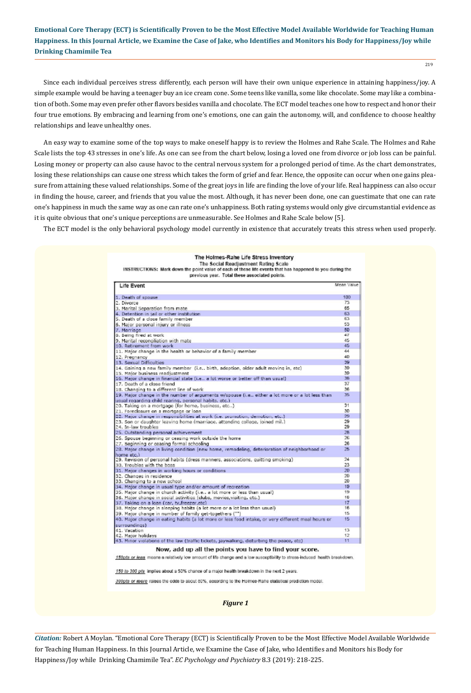219

Since each individual perceives stress differently, each person will have their own unique experience in attaining happiness/joy. A simple example would be having a teenager buy an ice cream cone. Some teens like vanilla, some like chocolate. Some may like a combination of both. Some may even prefer other flavors besides vanilla and chocolate. The ECT model teaches one how to respect and honor their four true emotions. By embracing and learning from one's emotions, one can gain the autonomy, will, and confidence to choose healthy relationships and leave unhealthy ones.

An easy way to examine some of the top ways to make oneself happy is to review the Holmes and Rahe Scale. The Holmes and Rahe Scale lists the top 43 stresses in one's life. As one can see from the chart below, losing a loved one from divorce or job loss can be painful. Losing money or property can also cause havoc to the central nervous system for a prolonged period of time. As the chart demonstrates, losing these relationships can cause one stress which takes the form of grief and fear. Hence, the opposite can occur when one gains pleasure from attaining these valued relationships. Some of the great joys in life are finding the love of your life. Real happiness can also occur in finding the house, career, and friends that you value the most. Although, it has never been done, one can guestimate that one can rate one's happiness in much the same way as one can rate one's unhappiness. Both rating systems would only give circumstantial evidence as it is quite obvious that one's unique perceptions are unmeasurable. See Holmes and Rahe Scale below [5].

The ECT model is the only behavioral psychology model currently in existence that accurately treats this stress when used properly.

| Life Event                                                                                                          | Mean Value |
|---------------------------------------------------------------------------------------------------------------------|------------|
| 1. Death of spouse                                                                                                  | 100        |
| 2. Divorce                                                                                                          | 73         |
| 3. Marital Separation from mate                                                                                     | 65         |
| 4. Detention in jail or other institution.                                                                          | 63         |
| 5. Death of a close family member                                                                                   | 63         |
| 6. Major personal injury or illness                                                                                 | 53         |
| 7. Marriage                                                                                                         | 50         |
| 8. Being fired at work                                                                                              | 47         |
| 9. Marital reconciliation with mate                                                                                 | 45         |
| 10. Retirement from work                                                                                            | 45         |
| 11. Major change in the health or behavior of a family member                                                       | 44         |
| 12. Pregnancy                                                                                                       | 40         |
| 13. Sexual Difficulties                                                                                             | 39         |
| 14. Gaining a new family member (i.e., birth, adoption, older adult moving in, etc).                                | 39         |
| 15. Major business readjustment                                                                                     | 39         |
| 16. Major change in financial state (i.e., a lot worse or better off than usual)                                    | 38         |
| 17. Death of a close friend                                                                                         | 37         |
| 18. Changing to a different line of work                                                                            | 36         |
| 19. Major change in the number of arguments w/spouse (i.e., either a lot more or a lot less than                    | 35         |
| usual regarding child rearing, personal habits, etc.)                                                               |            |
| 20. Taking on a mortgage (for home, business, etc)                                                                  | 31         |
| 21. Foreclosure on a mortgage or loan                                                                               | 30         |
| 22. Major change in responsibilities at work (i.e. promotion, demotion, etc.)                                       | 29         |
| 23. Son or daughter leaving home (marriage, attending college, joined mil.)                                         | 29         |
| 24. In-law troubles                                                                                                 | 29         |
| 25. Outstanding personal achievement                                                                                | 28         |
| 26. Spouse beainning or ceasing work outside the home                                                               | 26         |
| 27. Beginning or ceasing formal schooling                                                                           | 26         |
| 28. Major change in living condition (new home, remodeling, deterioration of neighborhood or<br>home etc.)          | 25         |
| 29. Revision of personal habits (dress manners, associations, quitting smoking)                                     | 24         |
| 30. Troubles with the boss                                                                                          | 23         |
| 31. Major changes in working hours or conditions                                                                    | 20         |
| 32. Changes in residence                                                                                            | 20         |
| 33. Changing to a new school                                                                                        | 20         |
| 34. Major change in usual type and/or amount of recreation                                                          | 19         |
| 35. Major change in church activity (i.e., a lot more or less than usual)                                           | 19         |
| 36. Major change in social activities (clubs, movies, visiting, etc.)                                               | 18         |
| 37. Taking on a loan (car, tv, freezer, etc)                                                                        | 17         |
| 38. Major change in sleeping habits (a lot more or a lot less than usual)                                           | 16         |
| 39. Major change in number of family get-togethers ("")                                                             | 15         |
| 40. Major change in eating habits (a lot more or less food intake, or very different meal hours or<br>surroundinos) | 15         |
| 41. Vacation                                                                                                        | 13         |
| 42. Major holidays                                                                                                  | 12         |
| 43. Minor violations of the law (traffic tickets, jaywalking, disturbing the peace, etc)                            | 11         |
| Now, add up all the points you have to find your score.                                                             |            |

#### The Holmes-Rahe Life Stress Inventory The Social Readjustment Rating Scale

INSTRUCTIONS: Mark down the point value of each of these life events that has happened to you during the

*Figure 1*

150 to 300 pts implies about a 50% chance of a major health breakdown in the next 2 years.

300pts or more raises the odds to about 80%, according to the Holmes-Rahe statistical prediction model.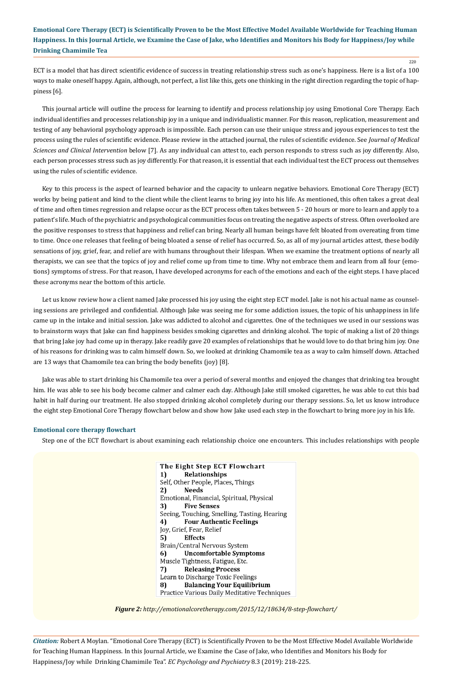ECT is a model that has direct scientific evidence of success in treating relationship stress such as one's happiness. Here is a list of a 100 ways to make oneself happy. Again, although, not perfect, a list like this, gets one thinking in the right direction regarding the topic of happiness [6].

This journal article will outline the process for learning to identify and process relationship joy using Emotional Core Therapy. Each individual identifies and processes relationship joy in a unique and individualistic manner. For this reason, replication, measurement and testing of any behavioral psychology approach is impossible. Each person can use their unique stress and joyous experiences to test the process using the rules of scientific evidence. Please review in the attached journal, the rules of scientific evidence. See *Journal of Medical Sciences and Clinical Intervention* below [7]. As any individual can attest to, each person responds to stress such as joy differently. Also, each person processes stress such as joy differently. For that reason, it is essential that each individual test the ECT process out themselves using the rules of scientific evidence.

Key to this process is the aspect of learned behavior and the capacity to unlearn negative behaviors. Emotional Core Therapy (ECT) works by being patient and kind to the client while the client learns to bring joy into his life. As mentioned, this often takes a great deal of time and often times regression and relapse occur as the ECT process often takes between 5 - 20 hours or more to learn and apply to a patient's life. Much of the psychiatric and psychological communities focus on treating the negative aspects of stress. Often overlooked are the positive responses to stress that happiness and relief can bring. Nearly all human beings have felt bloated from overeating from time to time. Once one releases that feeling of being bloated a sense of relief has occurred. So, as all of my journal articles attest, these bodily sensations of joy, grief, fear, and relief are with humans throughout their lifespan. When we examine the treatment options of nearly all therapists, we can see that the topics of joy and relief come up from time to time. Why not embrace them and learn from all four (emotions) symptoms of stress. For that reason, I have developed acronyms for each of the emotions and each of the eight steps. I have placed these acronyms near the bottom of this article.

Let us know review how a client named Jake processed his joy using the eight step ECT model. Jake is not his actual name as counseling sessions are privileged and confidential. Although Jake was seeing me for some addiction issues, the topic of his unhappiness in life came up in the intake and initial session. Jake was addicted to alcohol and cigarettes. One of the techniques we used in our sessions was to brainstorm ways that Jake can find happiness besides smoking cigarettes and drinking alcohol. The topic of making a list of 20 things that bring Jake joy had come up in therapy. Jake readily gave 20 examples of relationships that he would love to do that bring him joy. One of his reasons for drinking was to calm himself down. So, we looked at drinking Chamomile tea as a way to calm himself down. Attached are 13 ways that Chamomile tea can bring the body benefits (joy) [8].

Jake was able to start drinking his Chamomile tea over a period of several months and enjoyed the changes that drinking tea brought him. He was able to see his body become calmer and calmer each day. Although Jake still smoked cigarettes, he was able to cut this bad habit in half during our treatment. He also stopped drinking alcohol completely during our therapy sessions. So, let us know introduce the eight step Emotional Core Therapy flowchart below and show how Jake used each step in the flowchart to bring more joy in his life.

#### **Emotional core therapy flowchart**

Step one of the ECT flowchart is about examining each relationship choice one encounters. This includes relationships with people

The Eight Step ECT Flowchart 1) Relationships Self, Other People, Places, Things 2) **Needs** Emotional, Financial, Spiritual, Physical 3) **Five Senses** Seeing, Touching, Smelling, Tasting, Hearing 4) **Four Authentic Feelings** Joy, Grief, Fear, Relief **Effects** 5) Brain/Central Nervous System 6) **Uncomfortable Symptoms** Muscle Tightness, Fatigue, Etc. 7) **Releasing Process** Learn to Discharge Toxic Feelings **Balancing Your Equilibrium** 8) Practice Various Daily Meditative Techniques

*Figure 2: http://emotionalcoretherapy.com/2015/12/18634/8-step-flowchart/* 

*Citation:* Robert A Moylan*.* "Emotional Core Therapy (ECT) is Scientifically Proven to be the Most Effective Model Available Worldwide for Teaching Human Happiness. In this Journal Article, we Examine the Case of Jake, who Identifies and Monitors his Body for Happiness/Joy while Drinking Chamimile Tea". *EC Psychology and Psychiatry* 8.3 (2019): 218-225.

### 220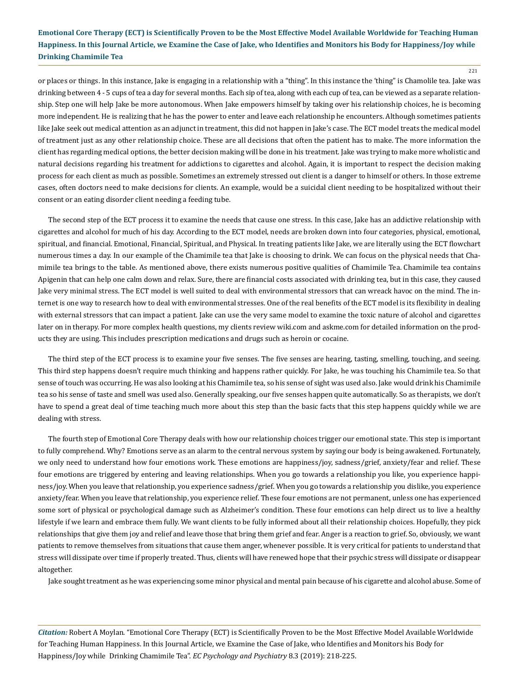or places or things. In this instance, Jake is engaging in a relationship with a "thing". In this instance the 'thing" is Chamolile tea. Jake was drinking between 4 - 5 cups of tea a day for several months. Each sip of tea, along with each cup of tea, can be viewed as a separate relationship. Step one will help Jake be more autonomous. When Jake empowers himself by taking over his relationship choices, he is becoming more independent. He is realizing that he has the power to enter and leave each relationship he encounters. Although sometimes patients like Jake seek out medical attention as an adjunct in treatment, this did not happen in Jake's case. The ECT model treats the medical model of treatment just as any other relationship choice. These are all decisions that often the patient has to make. The more information the client has regarding medical options, the better decision making will be done in his treatment. Jake was trying to make more wholistic and natural decisions regarding his treatment for addictions to cigarettes and alcohol. Again, it is important to respect the decision making process for each client as much as possible. Sometimes an extremely stressed out client is a danger to himself or others. In those extreme cases, often doctors need to make decisions for clients. An example, would be a suicidal client needing to be hospitalized without their consent or an eating disorder client needing a feeding tube.

The second step of the ECT process it to examine the needs that cause one stress. In this case, Jake has an addictive relationship with cigarettes and alcohol for much of his day. According to the ECT model, needs are broken down into four categories, physical, emotional, spiritual, and financial. Emotional, Financial, Spiritual, and Physical. In treating patients like Jake, we are literally using the ECT flowchart numerous times a day. In our example of the Chamimile tea that Jake is choosing to drink. We can focus on the physical needs that Chamimile tea brings to the table. As mentioned above, there exists numerous positive qualities of Chamimile Tea. Chamimile tea contains Apigenin that can help one calm down and relax. Sure, there are financial costs associated with drinking tea, but in this case, they caused Jake very minimal stress. The ECT model is well suited to deal with environmental stressors that can wreack havoc on the mind. The internet is one way to research how to deal with environmental stresses. One of the real benefits of the ECT model is its flexibility in dealing with external stressors that can impact a patient. Jake can use the very same model to examine the toxic nature of alcohol and cigarettes later on in therapy. For more complex health questions, my clients review wiki.com and askme.com for detailed information on the products they are using. This includes prescription medications and drugs such as heroin or cocaine.

The third step of the ECT process is to examine your five senses. The five senses are hearing, tasting, smelling, touching, and seeing. This third step happens doesn't require much thinking and happens rather quickly. For Jake, he was touching his Chamimile tea. So that sense of touch was occurring. He was also looking at his Chamimile tea, so his sense of sight was used also. Jake would drink his Chamimile tea so his sense of taste and smell was used also. Generally speaking, our five senses happen quite automatically. So as therapists, we don't have to spend a great deal of time teaching much more about this step than the basic facts that this step happens quickly while we are dealing with stress.

The fourth step of Emotional Core Therapy deals with how our relationship choices trigger our emotional state. This step is important to fully comprehend. Why? Emotions serve as an alarm to the central nervous system by saying our body is being awakened. Fortunately, we only need to understand how four emotions work. These emotions are happiness/joy, sadness/grief, anxiety/fear and relief. These four emotions are triggered by entering and leaving relationships. When you go towards a relationship you like, you experience happiness/joy. When you leave that relationship, you experience sadness/grief. When you go towards a relationship you dislike, you experience anxiety/fear. When you leave that relationship, you experience relief. These four emotions are not permanent, unless one has experienced some sort of physical or psychological damage such as Alzheimer's condition. These four emotions can help direct us to live a healthy lifestyle if we learn and embrace them fully. We want clients to be fully informed about all their relationship choices. Hopefully, they pick relationships that give them joy and relief and leave those that bring them grief and fear. Anger is a reaction to grief. So, obviously, we want patients to remove themselves from situations that cause them anger, whenever possible. It is very critical for patients to understand that stress will dissipate over time if properly treated. Thus, clients will have renewed hope that their psychic stress will dissipate or disappear altogether.

Jake sought treatment as he was experiencing some minor physical and mental pain because of his cigarette and alcohol abuse. Some of

*Citation:* Robert A Moylan*.* "Emotional Core Therapy (ECT) is Scientifically Proven to be the Most Effective Model Available Worldwide for Teaching Human Happiness. In this Journal Article, we Examine the Case of Jake, who Identifies and Monitors his Body for Happiness/Joy while Drinking Chamimile Tea". *EC Psychology and Psychiatry* 8.3 (2019): 218-225.

221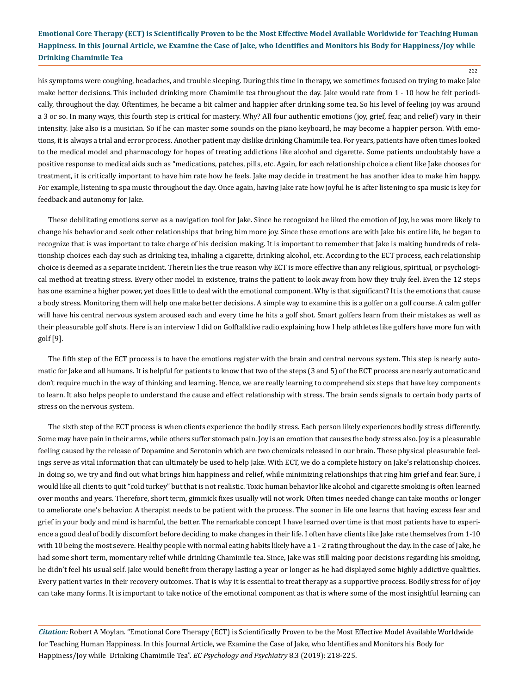222

his symptoms were coughing, headaches, and trouble sleeping. During this time in therapy, we sometimes focused on trying to make Jake make better decisions. This included drinking more Chamimile tea throughout the day. Jake would rate from 1 - 10 how he felt periodically, throughout the day. Oftentimes, he became a bit calmer and happier after drinking some tea. So his level of feeling joy was around a 3 or so. In many ways, this fourth step is critical for mastery. Why? All four authentic emotions (joy, grief, fear, and relief) vary in their intensity. Jake also is a musician. So if he can master some sounds on the piano keyboard, he may become a happier person. With emotions, it is always a trial and error process. Another patient may dislike drinking Chamimile tea. For years, patients have often times looked to the medical model and pharmacology for hopes of treating addictions like alcohol and cigarette. Some patients undoubtably have a positive response to medical aids such as "medications, patches, pills, etc. Again, for each relationship choice a client like Jake chooses for treatment, it is critically important to have him rate how he feels. Jake may decide in treatment he has another idea to make him happy. For example, listening to spa music throughout the day. Once again, having Jake rate how joyful he is after listening to spa music is key for feedback and autonomy for Jake.

These debilitating emotions serve as a navigation tool for Jake. Since he recognized he liked the emotion of Joy, he was more likely to change his behavior and seek other relationships that bring him more joy. Since these emotions are with Jake his entire life, he began to recognize that is was important to take charge of his decision making. It is important to remember that Jake is making hundreds of relationship choices each day such as drinking tea, inhaling a cigarette, drinking alcohol, etc. According to the ECT process, each relationship choice is deemed as a separate incident. Therein lies the true reason why ECT is more effective than any religious, spiritual, or psychological method at treating stress. Every other model in existence, trains the patient to look away from how they truly feel. Even the 12 steps has one examine a higher power, yet does little to deal with the emotional component. Why is that significant? It is the emotions that cause a body stress. Monitoring them will help one make better decisions. A simple way to examine this is a golfer on a golf course. A calm golfer will have his central nervous system aroused each and every time he hits a golf shot. Smart golfers learn from their mistakes as well as their pleasurable golf shots. Here is an interview I did on Golftalklive radio explaining how I help athletes like golfers have more fun with golf [9].

The fifth step of the ECT process is to have the emotions register with the brain and central nervous system. This step is nearly automatic for Jake and all humans. It is helpful for patients to know that two of the steps (3 and 5) of the ECT process are nearly automatic and don't require much in the way of thinking and learning. Hence, we are really learning to comprehend six steps that have key components to learn. It also helps people to understand the cause and effect relationship with stress. The brain sends signals to certain body parts of stress on the nervous system.

The sixth step of the ECT process is when clients experience the bodily stress. Each person likely experiences bodily stress differently. Some may have pain in their arms, while others suffer stomach pain. Joy is an emotion that causes the body stress also. Joy is a pleasurable feeling caused by the release of Dopamine and Serotonin which are two chemicals released in our brain. These physical pleasurable feelings serve as vital information that can ultimately be used to help Jake. With ECT, we do a complete history on Jake's relationship choices. In doing so, we try and find out what brings him happiness and relief, while minimizing relationships that ring him grief and fear. Sure, I would like all clients to quit "cold turkey" but that is not realistic. Toxic human behavior like alcohol and cigarette smoking is often learned over months and years. Therefore, short term, gimmick fixes usually will not work. Often times needed change can take months or longer to ameliorate one's behavior. A therapist needs to be patient with the process. The sooner in life one learns that having excess fear and grief in your body and mind is harmful, the better. The remarkable concept I have learned over time is that most patients have to experience a good deal of bodily discomfort before deciding to make changes in their life. I often have clients like Jake rate themselves from 1-10 with 10 being the most severe. Healthy people with normal eating habits likely have a 1 - 2 rating throughout the day. In the case of Jake, he had some short term, momentary relief while drinking Chamimile tea. Since, Jake was still making poor decisions regarding his smoking, he didn't feel his usual self. Jake would benefit from therapy lasting a year or longer as he had displayed some highly addictive qualities. Every patient varies in their recovery outcomes. That is why it is essential to treat therapy as a supportive process. Bodily stress for of joy can take many forms. It is important to take notice of the emotional component as that is where some of the most insightful learning can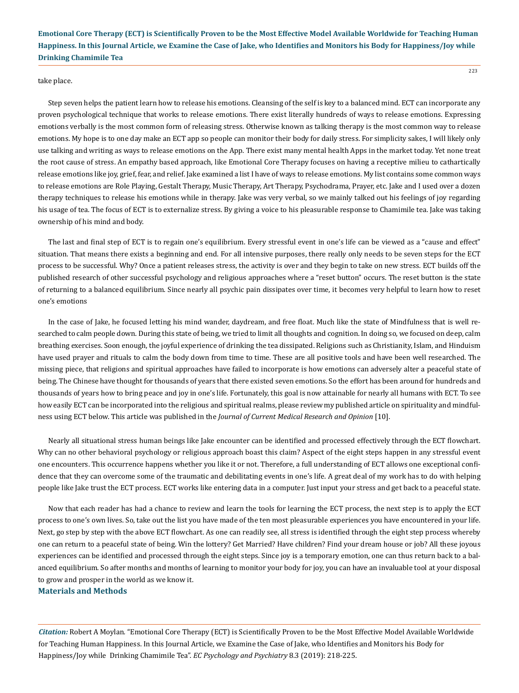223

#### take place.

Step seven helps the patient learn how to release his emotions. Cleansing of the self is key to a balanced mind. ECT can incorporate any proven psychological technique that works to release emotions. There exist literally hundreds of ways to release emotions. Expressing emotions verbally is the most common form of releasing stress. Otherwise known as talking therapy is the most common way to release emotions. My hope is to one day make an ECT app so people can monitor their body for daily stress. For simplicity sakes, I will likely only use talking and writing as ways to release emotions on the App. There exist many mental health Apps in the market today. Yet none treat the root cause of stress. An empathy based approach, like Emotional Core Therapy focuses on having a receptive milieu to cathartically release emotions like joy, grief, fear, and relief. Jake examined a list I have of ways to release emotions. My list contains some common ways to release emotions are Role Playing, Gestalt Therapy, Music Therapy, Art Therapy, Psychodrama, Prayer, etc. Jake and I used over a dozen therapy techniques to release his emotions while in therapy. Jake was very verbal, so we mainly talked out his feelings of joy regarding his usage of tea. The focus of ECT is to externalize stress. By giving a voice to his pleasurable response to Chamimile tea. Jake was taking ownership of his mind and body.

The last and final step of ECT is to regain one's equilibrium. Every stressful event in one's life can be viewed as a "cause and effect" situation. That means there exists a beginning and end. For all intensive purposes, there really only needs to be seven steps for the ECT process to be successful. Why? Once a patient releases stress, the activity is over and they begin to take on new stress. ECT builds off the published research of other successful psychology and religious approaches where a "reset button" occurs. The reset button is the state of returning to a balanced equilibrium. Since nearly all psychic pain dissipates over time, it becomes very helpful to learn how to reset one's emotions

In the case of Jake, he focused letting his mind wander, daydream, and free float. Much like the state of Mindfulness that is well researched to calm people down. During this state of being, we tried to limit all thoughts and cognition. In doing so, we focused on deep, calm breathing exercises. Soon enough, the joyful experience of drinking the tea dissipated. Religions such as Christianity, Islam, and Hinduism have used prayer and rituals to calm the body down from time to time. These are all positive tools and have been well researched. The missing piece, that religions and spiritual approaches have failed to incorporate is how emotions can adversely alter a peaceful state of being. The Chinese have thought for thousands of years that there existed seven emotions. So the effort has been around for hundreds and thousands of years how to bring peace and joy in one's life. Fortunately, this goal is now attainable for nearly all humans with ECT. To see how easily ECT can be incorporated into the religious and spiritual realms, please review my published article on spirituality and mindfulness using ECT below. This article was published in the *Journal of Current Medical Research and Opinion* [10].

Nearly all situational stress human beings like Jake encounter can be identified and processed effectively through the ECT flowchart. Why can no other behavioral psychology or religious approach boast this claim? Aspect of the eight steps happen in any stressful event one encounters. This occurrence happens whether you like it or not. Therefore, a full understanding of ECT allows one exceptional confidence that they can overcome some of the traumatic and debilitating events in one's life. A great deal of my work has to do with helping people like Jake trust the ECT process. ECT works like entering data in a computer. Just input your stress and get back to a peaceful state.

Now that each reader has had a chance to review and learn the tools for learning the ECT process, the next step is to apply the ECT process to one's own lives. So, take out the list you have made of the ten most pleasurable experiences you have encountered in your life. Next, go step by step with the above ECT flowchart. As one can readily see, all stress is identified through the eight step process whereby one can return to a peaceful state of being. Win the lottery? Get Married? Have children? Find your dream house or job? All these joyous experiences can be identified and processed through the eight steps. Since joy is a temporary emotion, one can thus return back to a balanced equilibrium. So after months and months of learning to monitor your body for joy, you can have an invaluable tool at your disposal to grow and prosper in the world as we know it.

#### **Materials and Methods**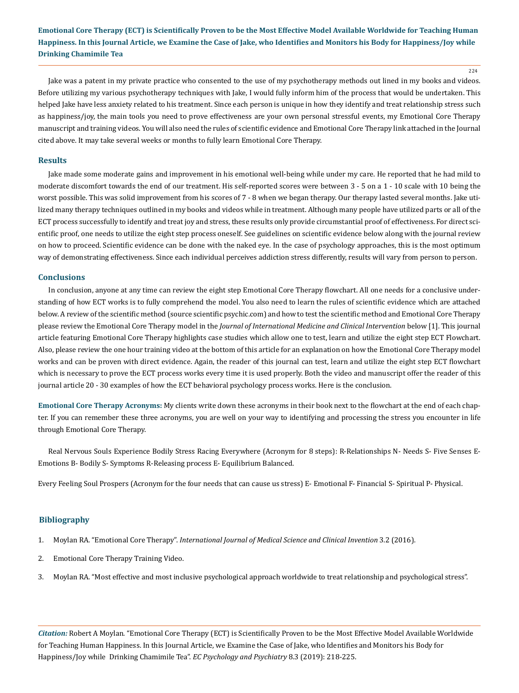224

Jake was a patent in my private practice who consented to the use of my psychotherapy methods out lined in my books and videos. Before utilizing my various psychotherapy techniques with Jake, I would fully inform him of the process that would be undertaken. This helped Jake have less anxiety related to his treatment. Since each person is unique in how they identify and treat relationship stress such as happiness/joy, the main tools you need to prove effectiveness are your own personal stressful events, my Emotional Core Therapy manuscript and training videos. You will also need the rules of scientific evidence and Emotional Core Therapy link attached in the Journal cited above. It may take several weeks or months to fully learn Emotional Core Therapy.

#### **Results**

Jake made some moderate gains and improvement in his emotional well-being while under my care. He reported that he had mild to moderate discomfort towards the end of our treatment. His self-reported scores were between 3 - 5 on a 1 - 10 scale with 10 being the worst possible. This was solid improvement from his scores of 7 - 8 when we began therapy. Our therapy lasted several months. Jake utilized many therapy techniques outlined in my books and videos while in treatment. Although many people have utilized parts or all of the ECT process successfully to identify and treat joy and stress, these results only provide circumstantial proof of effectiveness. For direct scientific proof, one needs to utilize the eight step process oneself. See guidelines on scientific evidence below along with the journal review on how to proceed. Scientific evidence can be done with the naked eye. In the case of psychology approaches, this is the most optimum way of demonstrating effectiveness. Since each individual perceives addiction stress differently, results will vary from person to person.

#### **Conclusions**

In conclusion, anyone at any time can review the eight step Emotional Core Therapy flowchart. All one needs for a conclusive understanding of how ECT works is to fully comprehend the model. You also need to learn the rules of scientific evidence which are attached below. A review of the scientific method (source scientific psychic.com) and how to test the scientific method and Emotional Core Therapy please review the Emotional Core Therapy model in the *Journal of International Medicine and Clinical Intervention* below [1]. This journal article featuring Emotional Core Therapy highlights case studies which allow one to test, learn and utilize the eight step ECT Flowchart. Also, please review the one hour training video at the bottom of this article for an explanation on how the Emotional Core Therapy model works and can be proven with direct evidence. Again, the reader of this journal can test, learn and utilize the eight step ECT flowchart which is necessary to prove the ECT process works every time it is used properly. Both the video and manuscript offer the reader of this journal article 20 - 30 examples of how the ECT behavioral psychology process works. Here is the conclusion.

**Emotional Core Therapy Acronyms:** My clients write down these acronyms in their book next to the flowchart at the end of each chapter. If you can remember these three acronyms, you are well on your way to identifying and processing the stress you encounter in life through Emotional Core Therapy.

Real Nervous Souls Experience Bodily Stress Racing Everywhere (Acronym for 8 steps): R-Relationships N- Needs S- Five Senses E-Emotions B- Bodily S- Symptoms R-Releasing process E- Equilibrium Balanced.

Every Feeling Soul Prospers (Acronym for the four needs that can cause us stress) E- Emotional F- Financial S- Spiritual P- Physical.

#### **Bibliography**

- 1. Moylan RA. "Emotional Core Therapy". *[International Journal of Medical Science and Clinical Invention](https://valleyinternational.net/index.php/ijmsci/article/view/443)* 3.2 (2016).
- 2. [Emotional Core Therapy Training Video.](https://www.youtube.com/watch?v=ty9OE2lqNX8)
- 3. Moylan RA. "Most effective and most inclusive psychological approach worldwide to treat relationship and psychological stress".